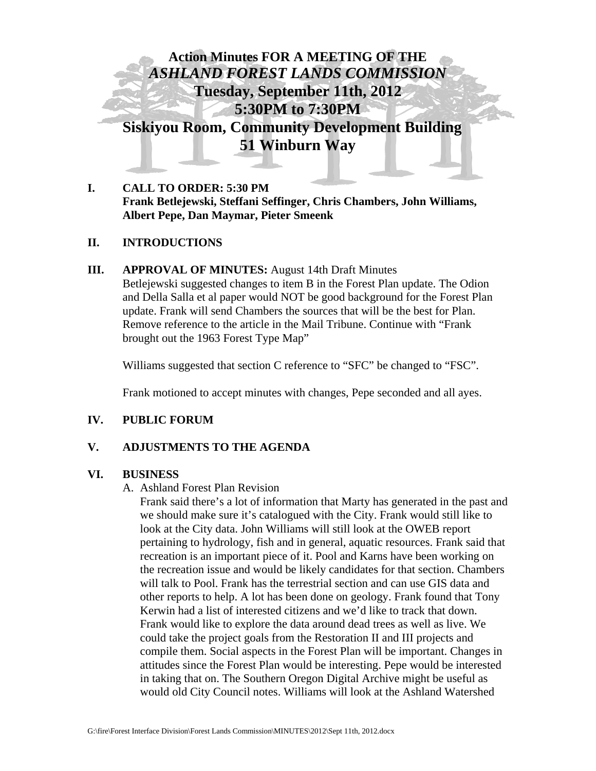

**I. CALL TO ORDER: 5:30 PM Frank Betlejewski, Steffani Seffinger, Chris Chambers, John Williams, Albert Pepe, Dan Maymar, Pieter Smeenk** 

## **II. INTRODUCTIONS**

**III. APPROVAL OF MINUTES:** August 14th Draft Minutes

Betlejewski suggested changes to item B in the Forest Plan update. The Odion and Della Salla et al paper would NOT be good background for the Forest Plan update. Frank will send Chambers the sources that will be the best for Plan. Remove reference to the article in the Mail Tribune. Continue with "Frank brought out the 1963 Forest Type Map"

Williams suggested that section C reference to "SFC" be changed to "FSC".

Frank motioned to accept minutes with changes, Pepe seconded and all ayes.

## **IV. PUBLIC FORUM**

## **V. ADJUSTMENTS TO THE AGENDA**

## **VI. BUSINESS**

#### A. Ashland Forest Plan Revision

Frank said there's a lot of information that Marty has generated in the past and we should make sure it's catalogued with the City. Frank would still like to look at the City data. John Williams will still look at the OWEB report pertaining to hydrology, fish and in general, aquatic resources. Frank said that recreation is an important piece of it. Pool and Karns have been working on the recreation issue and would be likely candidates for that section. Chambers will talk to Pool. Frank has the terrestrial section and can use GIS data and other reports to help. A lot has been done on geology. Frank found that Tony Kerwin had a list of interested citizens and we'd like to track that down. Frank would like to explore the data around dead trees as well as live. We could take the project goals from the Restoration II and III projects and compile them. Social aspects in the Forest Plan will be important. Changes in attitudes since the Forest Plan would be interesting. Pepe would be interested in taking that on. The Southern Oregon Digital Archive might be useful as would old City Council notes. Williams will look at the Ashland Watershed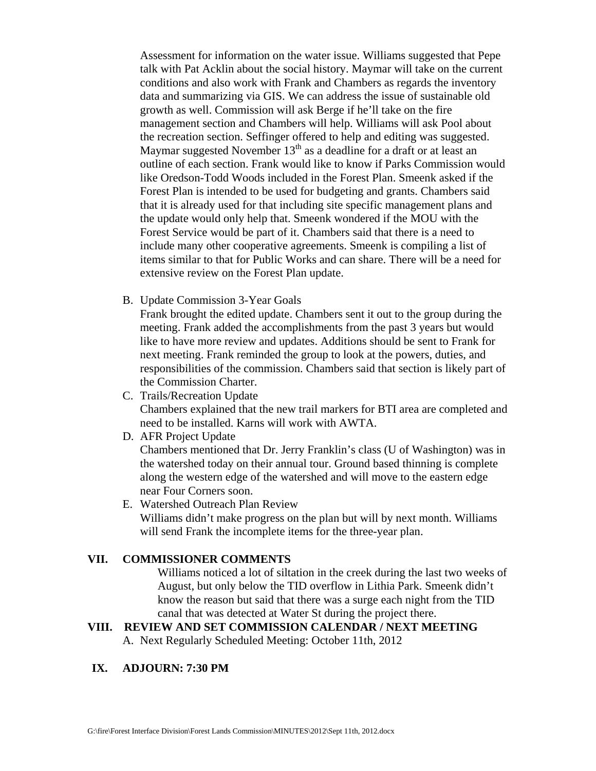Assessment for information on the water issue. Williams suggested that Pepe talk with Pat Acklin about the social history. Maymar will take on the current conditions and also work with Frank and Chambers as regards the inventory data and summarizing via GIS. We can address the issue of sustainable old growth as well. Commission will ask Berge if he'll take on the fire management section and Chambers will help. Williams will ask Pool about the recreation section. Seffinger offered to help and editing was suggested. Maymar suggested November  $13<sup>th</sup>$  as a deadline for a draft or at least an outline of each section. Frank would like to know if Parks Commission would like Oredson-Todd Woods included in the Forest Plan. Smeenk asked if the Forest Plan is intended to be used for budgeting and grants. Chambers said that it is already used for that including site specific management plans and the update would only help that. Smeenk wondered if the MOU with the Forest Service would be part of it. Chambers said that there is a need to include many other cooperative agreements. Smeenk is compiling a list of items similar to that for Public Works and can share. There will be a need for extensive review on the Forest Plan update.

B. Update Commission 3-Year Goals

Frank brought the edited update. Chambers sent it out to the group during the meeting. Frank added the accomplishments from the past 3 years but would like to have more review and updates. Additions should be sent to Frank for next meeting. Frank reminded the group to look at the powers, duties, and responsibilities of the commission. Chambers said that section is likely part of the Commission Charter.

C. Trails/Recreation Update

Chambers explained that the new trail markers for BTI area are completed and need to be installed. Karns will work with AWTA.

D. AFR Project Update

Chambers mentioned that Dr. Jerry Franklin's class (U of Washington) was in the watershed today on their annual tour. Ground based thinning is complete along the western edge of the watershed and will move to the eastern edge near Four Corners soon.

E. Watershed Outreach Plan Review

Williams didn't make progress on the plan but will by next month. Williams will send Frank the incomplete items for the three-year plan.

## **VII. COMMISSIONER COMMENTS**

Williams noticed a lot of siltation in the creek during the last two weeks of August, but only below the TID overflow in Lithia Park. Smeenk didn't know the reason but said that there was a surge each night from the TID canal that was detected at Water St during the project there.

## **VIII. REVIEW AND SET COMMISSION CALENDAR / NEXT MEETING**

A. Next Regularly Scheduled Meeting: October 11th, 2012

# **IX. ADJOURN: 7:30 PM**